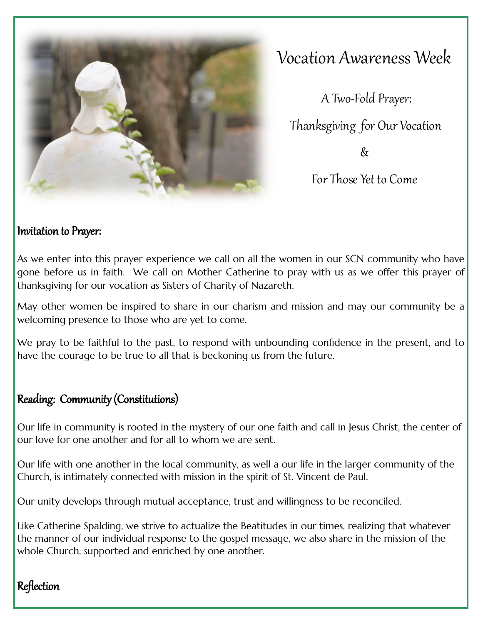

Vocation Awareness Week

 A Two-Fold Prayer: Thanksgiving for Our Vocation  $\&$ For Those Yet to Come

# Invitation to Prayer:

As we enter into this prayer experience we call on all the women in our SCN community who have gone before us in faith. We call on Mother Catherine to pray with us as we offer this prayer of thanksgiving for our vocation as Sisters of Charity of Nazareth.

May other women be inspired to share in our charism and mission and may our community be a welcoming presence to those who are yet to come.

We pray to be faithful to the past, to respond with unbounding confidence in the present, and to have the courage to be true to all that is beckoning us from the future.

# Reading: Community (Constitutions)

Our life in community is rooted in the mystery of our one faith and call in Jesus Christ, the center of our love for one another and for all to whom we are sent.

Our life with one another in the local community, as well a our life in the larger community of the Church, is intimately connected with mission in the spirit of St. Vincent de Paul.

Our unity develops through mutual acceptance, trust and willingness to be reconciled.

Like Catherine Spalding, we strive to actualize the Beatitudes in our times, realizing that whatever the manner of our individual response to the gospel message, we also share in the mission of the whole Church, supported and enriched by one another.

# Reflection